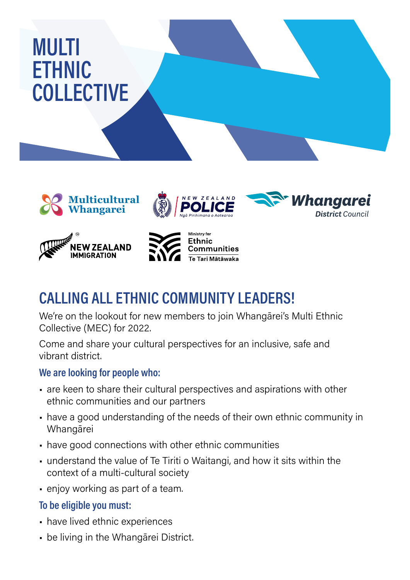# MULTI **ETHNIC COLLECTIVE**











## **CALLING ALL ETHNIC COMMUNITY LEADERS!**

We're on the lookout for new members to join Whangārei's Multi Ethnic Collective (MEC) for 2022.

Come and share your cultural perspectives for an inclusive, safe and vibrant district.

#### **We are looking for people who:**

- are keen to share their cultural perspectives and aspirations with other ethnic communities and our partners
- have a good understanding of the needs of their own ethnic community in Whangārei
- have good connections with other ethnic communities
- understand the value of Te Tiriti o Waitangi, and how it sits within the context of a multi-cultural society
- enjoy working as part of a team.

#### **To be eligible you must:**

- have lived ethnic experiences
- be living in the Whangārei District.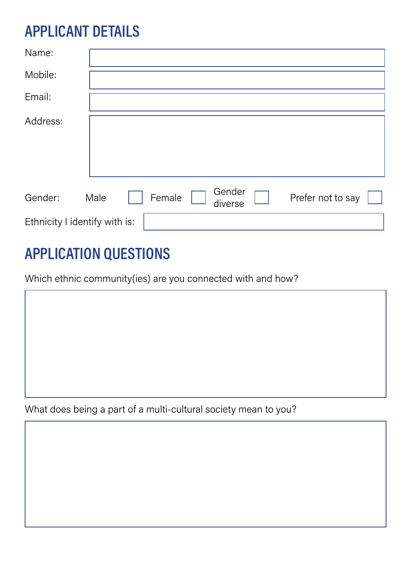### **APPLICANT DETAILS**

| Name:                         |      |  |        |  |                   |  |                   |  |
|-------------------------------|------|--|--------|--|-------------------|--|-------------------|--|
| Mobile:                       |      |  |        |  |                   |  |                   |  |
| Email:                        |      |  |        |  |                   |  |                   |  |
| Address:                      |      |  |        |  |                   |  |                   |  |
| Gender:                       | Male |  | Female |  | Gender<br>diverse |  | Prefer not to say |  |
| Ethnicity I identify with is: |      |  |        |  |                   |  |                   |  |

### **APPLICATION QUESTIONS**

Which ethnic community(ies) are you connected with and how?

What does being a part of a multi-cultural society mean to you?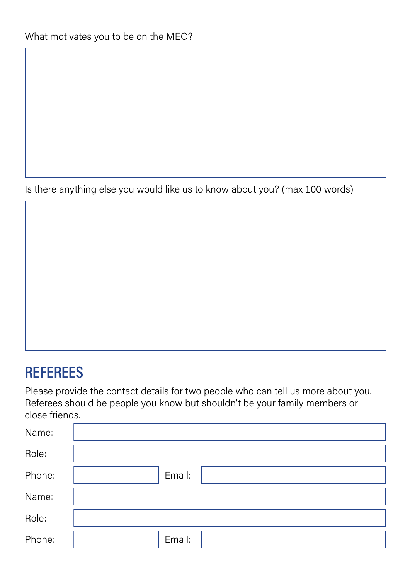Is there anything else you would like us to know about you? (max 100 words)

### **REFEREES**

Please provide the contact details for two people who can tell us more about you. Referees should be people you know but shouldn't be your family members or close friends.

| Name:  |        |
|--------|--------|
| Role:  |        |
| Phone: | Email: |
| Name:  |        |
| Role:  |        |
| Phone: | Email: |